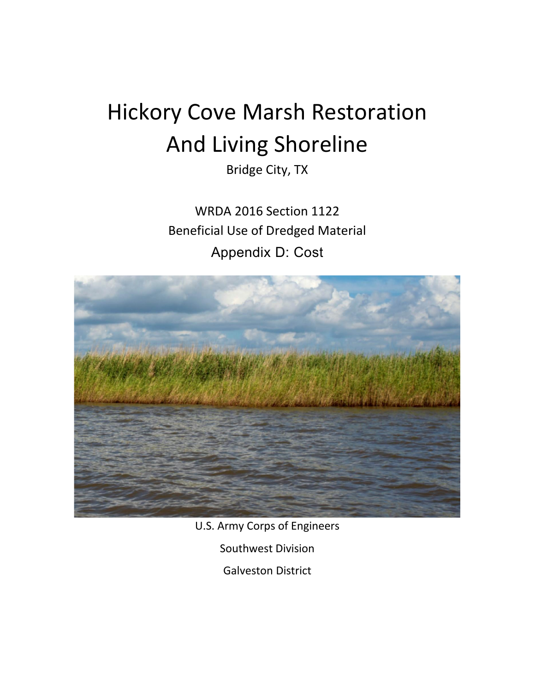# Hickory Cove Marsh Restoration And Living Shoreline

Bridge City, TX

WRDA 2016 Section 1122 Beneficial Use of Dredged Material Appendix D: Cost



U.S. Army Corps of Engineers

Southwest Division

Galveston District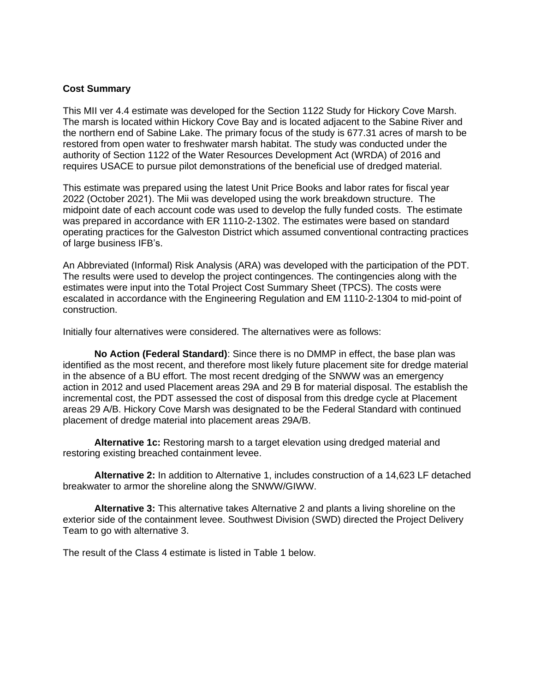### **Cost Summary**

This MII ver 4.4 estimate was developed for the Section 1122 Study for Hickory Cove Marsh. The marsh is located within Hickory Cove Bay and is located adjacent to the Sabine River and the northern end of Sabine Lake. The primary focus of the study is 677.31 acres of marsh to be restored from open water to freshwater marsh habitat. The study was conducted under the authority of Section 1122 of the Water Resources Development Act (WRDA) of 2016 and requires USACE to pursue pilot demonstrations of the beneficial use of dredged material.

This estimate was prepared using the latest Unit Price Books and labor rates for fiscal year 2022 (October 2021). The Mii was developed using the work breakdown structure. The midpoint date of each account code was used to develop the fully funded costs. The estimate was prepared in accordance with ER 1110-2-1302. The estimates were based on standard operating practices for the Galveston District which assumed conventional contracting practices of large business IFB's.

An Abbreviated (Informal) Risk Analysis (ARA) was developed with the participation of the PDT. The results were used to develop the project contingences. The contingencies along with the estimates were input into the Total Project Cost Summary Sheet (TPCS). The costs were escalated in accordance with the Engineering Regulation and EM 1110-2-1304 to mid-point of construction.

Initially four alternatives were considered. The alternatives were as follows:

**No Action (Federal Standard)**: Since there is no DMMP in effect, the base plan was identified as the most recent, and therefore most likely future placement site for dredge material in the absence of a BU effort. The most recent dredging of the SNWW was an emergency action in 2012 and used Placement areas 29A and 29 B for material disposal. The establish the incremental cost, the PDT assessed the cost of disposal from this dredge cycle at Placement areas 29 A/B. Hickory Cove Marsh was designated to be the Federal Standard with continued placement of dredge material into placement areas 29A/B.

**Alternative 1c:** Restoring marsh to a target elevation using dredged material and restoring existing breached containment levee.

**Alternative 2:** In addition to Alternative 1, includes construction of a 14,623 LF detached breakwater to armor the shoreline along the SNWW/GIWW.

**Alternative 3:** This alternative takes Alternative 2 and plants a living shoreline on the exterior side of the containment levee. Southwest Division (SWD) directed the Project Delivery Team to go with alternative 3.

The result of the Class 4 estimate is listed in Table 1 below.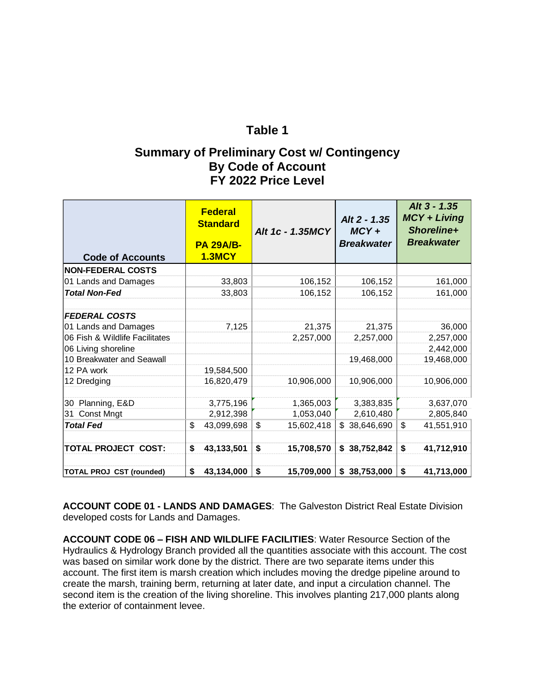### **Table 1**

## **Summary of Preliminary Cost w/ Contingency By Code of Account FY 2022 Price Level**

| <b>Code of Accounts</b>         | <b>Federal</b><br><b>Standard</b><br><b>PA 29A/B-</b><br><b>1.3MCY</b> | Alt 1c - 1.35MCY | Alt 2 - 1.35<br>$MCY +$<br><b>Breakwater</b> | Alt 3 - 1.35<br><b>MCY + Living</b><br>Shoreline+<br><b>Breakwater</b> |
|---------------------------------|------------------------------------------------------------------------|------------------|----------------------------------------------|------------------------------------------------------------------------|
| <b>NON-FEDERAL COSTS</b>        |                                                                        |                  |                                              |                                                                        |
| 01 Lands and Damages            | 33,803                                                                 | 106,152          | 106,152                                      | 161,000                                                                |
| <b>Total Non-Fed</b>            | 33,803                                                                 | 106,152          | 106,152                                      | 161,000                                                                |
| <b>FEDERAL COSTS</b>            |                                                                        |                  |                                              |                                                                        |
| 01 Lands and Damages            | 7,125                                                                  | 21,375           | 21,375                                       | 36,000                                                                 |
| 06 Fish & Wildlife Facilitates  |                                                                        | 2,257,000        | 2,257,000                                    | 2,257,000                                                              |
| 06 Living shoreline             |                                                                        |                  |                                              | 2,442,000                                                              |
| 10 Breakwater and Seawall       |                                                                        |                  | 19,468,000                                   | 19,468,000                                                             |
| 12 PA work                      | 19,584,500                                                             |                  |                                              |                                                                        |
| 12 Dredging                     | 16,820,479                                                             | 10,906,000       | 10,906,000                                   | 10,906,000                                                             |
| 30 Planning, E&D                | 3,775,196                                                              | 1,365,003        | 3,383,835                                    | 3,637,070                                                              |
| Const Mngt<br>31                | 2,912,398                                                              | 1,053,040        | 2,610,480                                    | 2,805,840                                                              |
| <b>Total Fed</b>                | \$<br>43,099,698                                                       | \$<br>15,602,418 | \$38,646,690                                 | \$<br>41,551,910                                                       |
| <b>TOTAL PROJECT COST:</b>      | 43,133,501<br>\$                                                       | \$<br>15,708,570 | \$38,752,842                                 | \$<br>41,712,910                                                       |
| <b>TOTAL PROJ CST (rounded)</b> | 43,134,000<br>\$                                                       | \$<br>15,709,000 | \$38,753,000                                 | \$<br>41,713,000                                                       |

**ACCOUNT CODE 01 - LANDS AND DAMAGES**: The Galveston District Real Estate Division developed costs for Lands and Damages.

**ACCOUNT CODE 06 – FISH AND WILDLIFE FACILITIES**: Water Resource Section of the Hydraulics & Hydrology Branch provided all the quantities associate with this account. The cost was based on similar work done by the district. There are two separate items under this account. The first item is marsh creation which includes moving the dredge pipeline around to create the marsh, training berm, returning at later date, and input a circulation channel. The second item is the creation of the living shoreline. This involves planting 217,000 plants along the exterior of containment levee.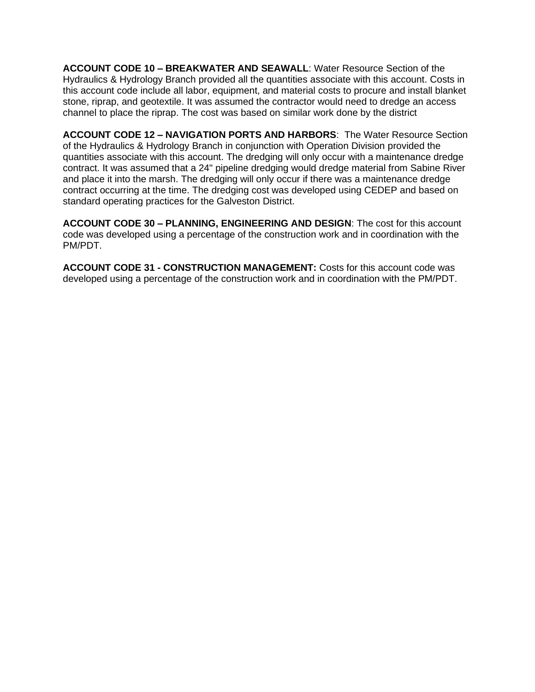**ACCOUNT CODE 10 – BREAKWATER AND SEAWALL**: Water Resource Section of the Hydraulics & Hydrology Branch provided all the quantities associate with this account. Costs in this account code include all labor, equipment, and material costs to procure and install blanket stone, riprap, and geotextile. It was assumed the contractor would need to dredge an access channel to place the riprap. The cost was based on similar work done by the district

**ACCOUNT CODE 12 – NAVIGATION PORTS AND HARBORS**: The Water Resource Section of the Hydraulics & Hydrology Branch in conjunction with Operation Division provided the quantities associate with this account. The dredging will only occur with a maintenance dredge contract. It was assumed that a 24" pipeline dredging would dredge material from Sabine River and place it into the marsh. The dredging will only occur if there was a maintenance dredge contract occurring at the time. The dredging cost was developed using CEDEP and based on standard operating practices for the Galveston District.

**ACCOUNT CODE 30 – PLANNING, ENGINEERING AND DESIGN**: The cost for this account code was developed using a percentage of the construction work and in coordination with the PM/PDT.

**ACCOUNT CODE 31 - CONSTRUCTION MANAGEMENT:** Costs for this account code was developed using a percentage of the construction work and in coordination with the PM/PDT.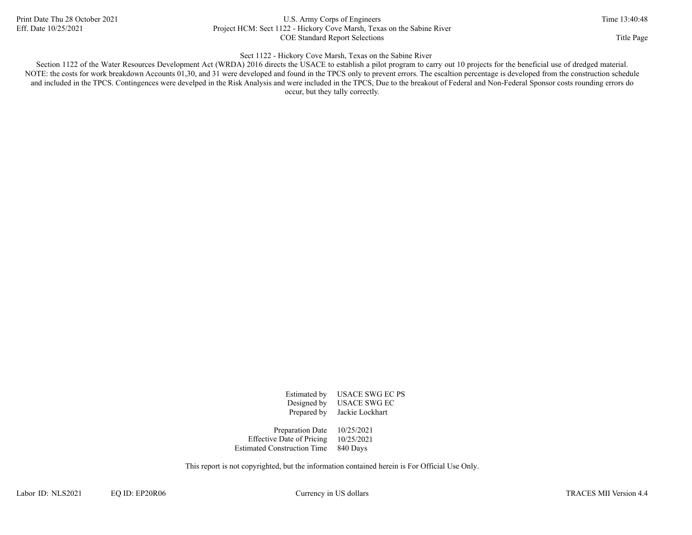### Print Date Thu 28 October 2021 U.S. Army Corps of Engineers Time 13:40:48 Eff. Date 10/25/2021 Project HCM: Sect 1122 - Hickory Cove Marsh, Texas on the Sabine River COE Standard Report Selections Title Page

### Sect 1122 - Hickory Cove Marsh, Texas on the Sabine River

Section 1122 of the Water Resources Development Act (WRDA) 2016 directs the USACE to establish a pilot program to carry out 10 projects for the beneficial use of dredged material. NOTE: the costs for work breakdown Accounts 01,30, and 31 were developed and found in the TPCS only to prevent errors. The escaltion percentage is developed from the construction schedule and included in the TPCS. Contingences were develped in the Risk Analysis and were included in the TPCS, Due to the breakout of Federal and Non-Federal Sponsor costs rounding errors do occur, but they tally correctly.

> Prepared by Jackie Lockhart Estimated by USACE SWG EC PS Designed by USACE SWG EC

Estimated Construction Time 840 Days Effective Date of Pricing 10/25/2021 Preparation Date 10/25/2021

This report is not copyrighted, but the information contained herein is For Official Use Only.

Labor ID: NLS2021 EQ ID: EP20R06 Currency in US dollars Currency in US dollars TRACES MII Version 4.4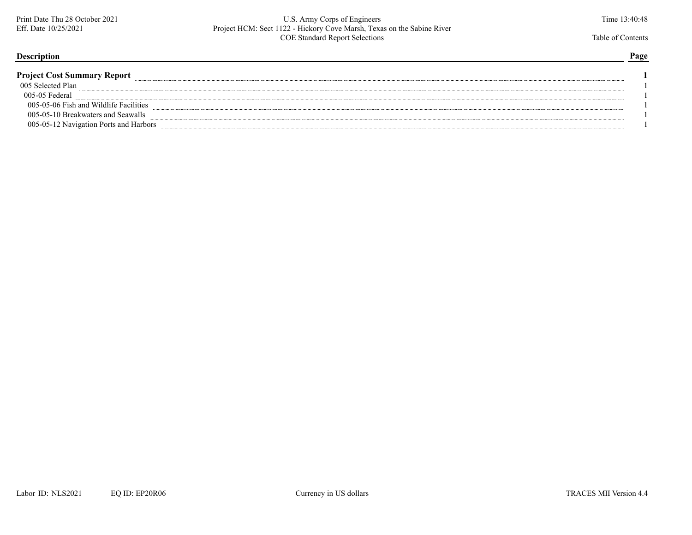### Print Date Thu 28 October 2021 U.S. Army Corps of Engineers U.S. Army Corps of Engineers Time 13:40:48<br>Eff. Date 10/25/2021 Project HCM: Sect 1122 - Hickory Cove Marsh, Texas on the Sabine River Eff. Date 10/25/2021 Project HCM: Sect 1122 - Hickory Cove Marsh, Texas on the Sabine River COE Standard Report Selections Table of Contents Table of Contents

### **Description Page**

| <b>Project Cost Summary Report</b>     |  |
|----------------------------------------|--|
| 005 Selected Plan                      |  |
| 005-05 Federal                         |  |
| 005-05-06 Fish and Wildlife Facilities |  |
| 005-05-10 Breakwaters and Seawalls     |  |
| 005-05-12 Navigation Ports and Harbors |  |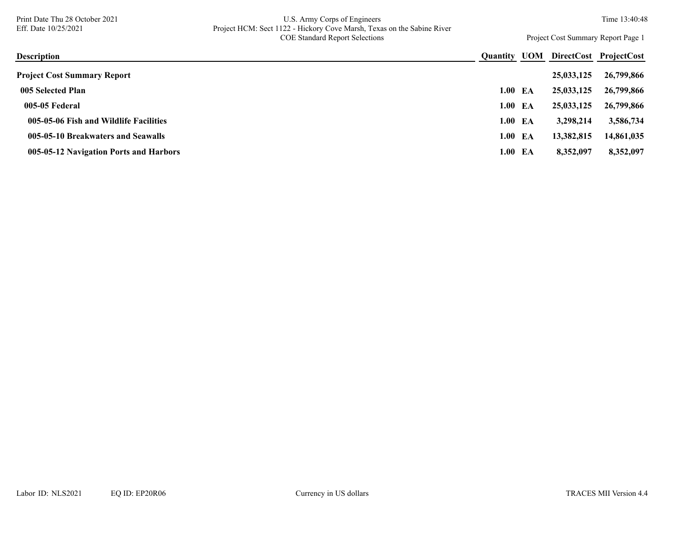### Print Date Thu 28 October 2021 U.S. Army Corps of Engineers U.S. Army Corps of Engineers Time 13:40:48<br>Eff. Date 10/25/2021 Project HCM: Sect 1122 - Hickory Cove Marsh, Texas on the Sabine River Eff. Date 10/25/2021 Project HCM: Sect 1122 - Hickory Cove Marsh, Texas on the Sabine River COE Standard Report Selections Project Cost Summary Report Page 1

| <b>Description</b>                     | <b>Ouantity</b> | UOM |            | DirectCost ProjectCost |
|----------------------------------------|-----------------|-----|------------|------------------------|
| <b>Project Cost Summary Report</b>     |                 |     | 25,033,125 | 26,799,866             |
| 005 Selected Plan                      | 1.00            | ЕA  | 25,033,125 | 26,799,866             |
| 005-05 Federal                         | 1.00            | ЕA  | 25,033,125 | 26,799,866             |
| 005-05-06 Fish and Wildlife Facilities | 1.00 EA         |     | 3,298,214  | 3,586,734              |
| 005-05-10 Breakwaters and Seawalls     | 1.00            | EA  | 13,382,815 | 14,861,035             |
| 005-05-12 Navigation Ports and Harbors | 1.00 EA         |     | 8,352,097  | 8,352,097              |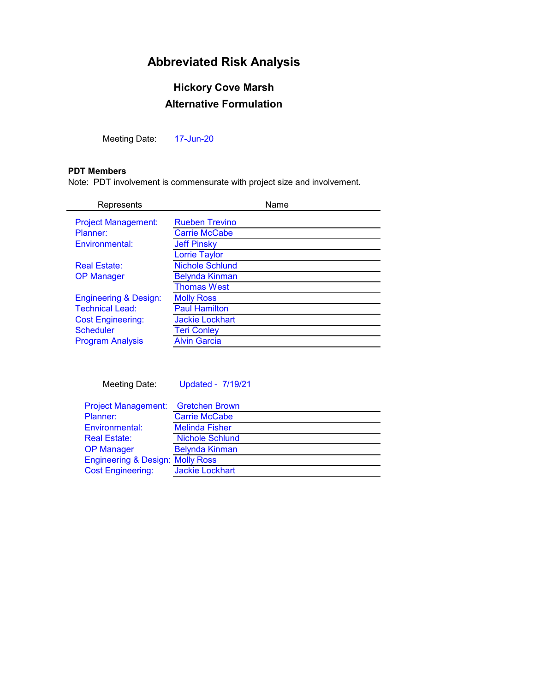## **Abbreviated Risk Analysis**

## **Alternative Formulation Hickory Cove Marsh**

Meeting Date: 17-Jun-20

### **PDT Members**

Note: PDT involvement is commensurate with project size and involvement.

| Represents                       | Name                   |
|----------------------------------|------------------------|
| <b>Project Management:</b>       | <b>Rueben Trevino</b>  |
| Planner:                         | <b>Carrie McCabe</b>   |
| Environmental:                   | <b>Jeff Pinsky</b>     |
|                                  | <b>Lorrie Taylor</b>   |
| <b>Real Estate:</b>              | <b>Nichole Schlund</b> |
| <b>OP Manager</b>                | <b>Belynda Kinman</b>  |
|                                  | <b>Thomas West</b>     |
| <b>Engineering &amp; Design:</b> | <b>Molly Ross</b>      |
| <b>Technical Lead:</b>           | <b>Paul Hamilton</b>   |
| <b>Cost Engineering:</b>         | <b>Jackie Lockhart</b> |
| <b>Scheduler</b>                 | <b>Teri Conley</b>     |
| <b>Program Analysis</b>          | <b>Alvin Garcia</b>    |
|                                  |                        |

Meeting Date: Updated - 7/19/21

| Project Management: Gretchen Brown          |                        |
|---------------------------------------------|------------------------|
| Planner:                                    | <b>Carrie McCabe</b>   |
| Environmental:                              | <b>Melinda Fisher</b>  |
| <b>Real Estate:</b>                         | <b>Nichole Schlund</b> |
| <b>OP Manager</b>                           | <b>Belynda Kinman</b>  |
| <b>Engineering &amp; Design: Molly Ross</b> |                        |
| <b>Cost Engineering:</b>                    | <b>Jackie Lockhart</b> |
|                                             |                        |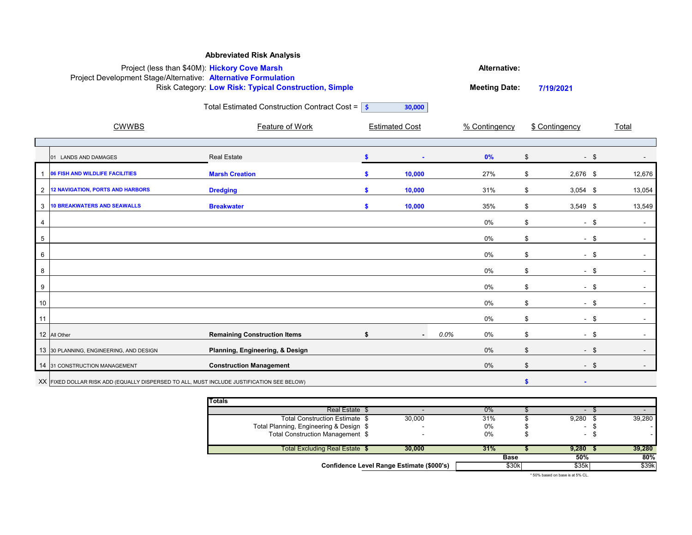|                 |                                                                                           | <b>Abbreviated Risk Analysis</b>                           |                     |                       |      |                      |                |            |              |  |  |
|-----------------|-------------------------------------------------------------------------------------------|------------------------------------------------------------|---------------------|-----------------------|------|----------------------|----------------|------------|--------------|--|--|
|                 | Project (less than \$40M): Hickory Cove Marsh                                             |                                                            | <b>Alternative:</b> |                       |      |                      |                |            |              |  |  |
|                 | Project Development Stage/Alternative: Alternative Formulation                            | Risk Category: Low Risk: Typical Construction, Simple      |                     |                       |      | <b>Meeting Date:</b> | 7/19/2021      |            |              |  |  |
|                 |                                                                                           | Total Estimated Construction Contract Cost = $\frac{1}{5}$ |                     | 30,000                |      |                      |                |            |              |  |  |
|                 | <b>CWWBS</b>                                                                              | <b>Feature of Work</b>                                     |                     | <b>Estimated Cost</b> |      | % Contingency        | \$ Contingency |            | <u>Total</u> |  |  |
|                 |                                                                                           |                                                            |                     |                       |      |                      |                |            |              |  |  |
|                 | 01 LANDS AND DAMAGES                                                                      | <b>Real Estate</b>                                         |                     | $\blacksquare$        |      | 0%                   | \$             | $-$ \$     |              |  |  |
|                 | 06 FISH AND WILDLIFE FACILITIES                                                           | <b>Marsh Creation</b>                                      |                     | 10,000                |      | 27%                  | \$             | 2,676 \$   | 12,676       |  |  |
| $\overline{2}$  | <b>12 NAVIGATION, PORTS AND HARBORS</b>                                                   | <b>Dredging</b>                                            |                     | 10,000                |      | 31%                  | \$             | $3,054$ \$ | 13,054       |  |  |
| $\mathbf{3}$    | <b>10 BREAKWATERS AND SEAWALLS</b>                                                        | <b>Breakwater</b>                                          | $\bullet$           | 10,000                |      | 35%                  | \$             | $3,549$ \$ | 13,549       |  |  |
|                 |                                                                                           |                                                            |                     |                       |      | 0%                   | \$             | $-$ \$     |              |  |  |
| $5\phantom{.0}$ |                                                                                           |                                                            |                     |                       |      | 0%                   | \$             | $-$ \$     | $\sim$       |  |  |
| 6               |                                                                                           |                                                            |                     |                       |      | 0%                   | \$             | $-$ \$     |              |  |  |
| 8               |                                                                                           |                                                            |                     |                       |      | 0%                   | \$             | $-$ \$     |              |  |  |
| 9               |                                                                                           |                                                            |                     |                       |      | 0%                   | \$             | $-$ \$     |              |  |  |
| 10              |                                                                                           |                                                            |                     |                       |      | 0%                   | \$             | $-$ \$     |              |  |  |
| 11              |                                                                                           |                                                            |                     |                       |      | 0%                   | \$             | $-$ \$     | $\sim$       |  |  |
|                 | 12 All Other                                                                              | <b>Remaining Construction Items</b>                        | \$                  |                       | 0.0% | $0\%$                | \$             | - \$       |              |  |  |
|                 | 13 30 PLANNING, ENGINEERING, AND DESIGN                                                   | Planning, Engineering, & Design                            |                     |                       |      | 0%                   | \$             | -\$        |              |  |  |
|                 | 14 31 CONSTRUCTION MANAGEMENT                                                             | <b>Construction Management</b>                             |                     |                       |      | $0\%$                | \$             | $-$ \$     |              |  |  |
|                 | XX FIXED DOLLAR RISK ADD (EQUALLY DISPERSED TO ALL, MUST INCLUDE JUSTIFICATION SEE BELOW) |                                                            |                     |                       |      |                      |                |            |              |  |  |

| <b>Totals</b>                           |                                           |             |                          |        |        |
|-----------------------------------------|-------------------------------------------|-------------|--------------------------|--------|--------|
| Real Estate \$                          |                                           | 0%          |                          |        |        |
| Total Construction Estimate \$          | 30,000                                    | 31%         | 9,280                    | 39,280 |        |
| Total Planning, Engineering & Design \$ |                                           | 0%          | $\overline{\phantom{0}}$ |        |        |
| Total Construction Management \$        |                                           | 0%          | . .                      |        |        |
| Total Excluding Real Estate \$          | 30,000                                    | 31%         | 9,280                    | 39,280 |        |
|                                         |                                           | <b>Base</b> | 50%                      |        | $80\%$ |
|                                         | Confidence Level Range Estimate (\$000's) | \$30k       | \$35k                    |        | \$39k  |

 $*$  50% based on base is at 5% CL.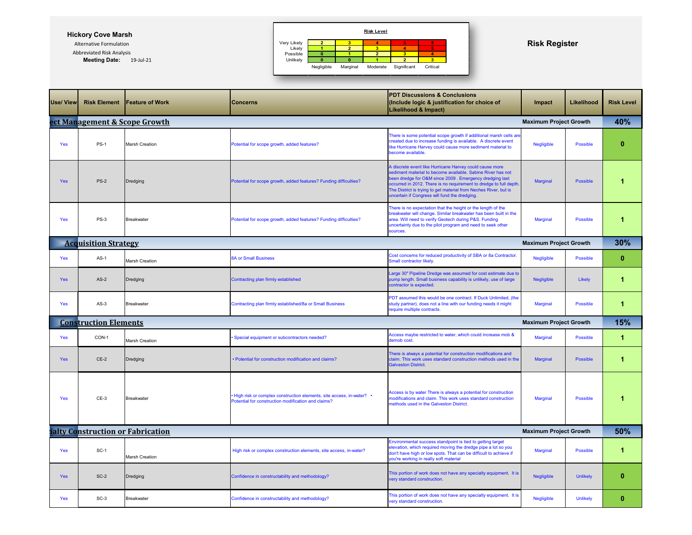## **Hickory Cove Marsh**

Abbreviated Risk Analysis **Meeting Date:** 19-Jul-21

| <b>Use/ View</b> | <b>Risk Element</b>           | <b>Feature of Work</b>            | Concerns                                                                                                                      | Impact                                                                                                                                                                                                                                                                                                                                                                       | Likelihood                    | <b>Risk Level</b> |                      |
|------------------|-------------------------------|-----------------------------------|-------------------------------------------------------------------------------------------------------------------------------|------------------------------------------------------------------------------------------------------------------------------------------------------------------------------------------------------------------------------------------------------------------------------------------------------------------------------------------------------------------------------|-------------------------------|-------------------|----------------------|
|                  | ect Management & Scope Growth |                                   |                                                                                                                               |                                                                                                                                                                                                                                                                                                                                                                              | <b>Maximum Project Growth</b> |                   | 40%                  |
| Yes              | $PS-1$                        | <b>Marsh Creation</b>             | Potential for scope growth, added features?                                                                                   | There is some potential scope growth if additional marsh cells are<br>created due to increase funding is available. A discrete event<br>like Hurricane Harvey could cause more sediment material to<br>become available.                                                                                                                                                     | Negligible                    | <b>Possible</b>   | $\bf{0}$             |
| <b>Yes</b>       | <b>PS-2</b>                   | Dredging                          | Potential for scope growth, added features? Funding difficulties?                                                             | A discrete event like Hurricane Harvey could cause more<br>sediment material to become available. Sabine River has not<br>been dredge for O&M since 2009. Emergency dredging last<br>occurred in 2012. There is no requirement to dredge to full depth.<br>The District is trying to get material from Neches River, but is<br>uncertain if Congress will fund the dredging. | <b>Marginal</b>               | <b>Possible</b>   |                      |
| Yes              | <b>PS-3</b>                   | <b>Breakwater</b>                 | Potential for scope growth, added features? Funding difficulties?                                                             | There is no expectation that the height or the length of the<br>breakwater will change. Similar breakwater has been built in the<br>area. Will need to verify Geotech during P&S. Funding<br>uncertainty due to the pilot program and need to seek other<br>sources.                                                                                                         |                               |                   |                      |
|                  | <b>Acquisition Strategy</b>   |                                   |                                                                                                                               |                                                                                                                                                                                                                                                                                                                                                                              | <b>Maximum Project Growth</b> |                   | 30%                  |
| <b>Yes</b>       | $AS-1$                        | <b>Marsh Creation</b>             | <b>8A or Small Business</b>                                                                                                   | Cost concerns for reduced productivity of SBA or 8a Contractor.<br>Small contractor likely.                                                                                                                                                                                                                                                                                  | Negligible                    | <b>Possible</b>   | $\mathbf{0}$         |
| <b>Yes</b>       | $AS-2$                        | Dredging                          | <b>Contracting plan firmly established</b>                                                                                    | Large 30" Pipeline Dredge was assumed for cost estimate due to<br>pump length. Small business capability is unlikely, use of large<br>contractor is expected.                                                                                                                                                                                                                | <b>Negligible</b>             | Likely            |                      |
| <b>Yes</b>       | $AS-3$                        | <b>Breakwater</b>                 | Contracting plan firmly established/8a or Small Business                                                                      | PDT assumed this would be one contract. If Duck Unlimited, (the<br>study partner), does not a line with our funding needs it might<br>require multiple contracts.                                                                                                                                                                                                            | <b>Marginal</b>               | <b>Possible</b>   |                      |
|                  | <b>Construction Elements</b>  |                                   |                                                                                                                               |                                                                                                                                                                                                                                                                                                                                                                              | <b>Maximum Project Growth</b> |                   | <b>15%</b>           |
| Yes              | CON-1                         | Marsh Creation                    | · Special equipment or subcontractors needed?                                                                                 | Access maybe restricted to water, which could increase mob &<br>demob cost.                                                                                                                                                                                                                                                                                                  | <b>Marginal</b>               | <b>Possible</b>   |                      |
| <b>Yes</b>       | $CE-2$                        | Dredging                          | • Potential for construction modification and claims?                                                                         | There is always a potential for construction modifications and<br>claim. This work uses standard construction methods used in the<br><b>Galveston District.</b>                                                                                                                                                                                                              | <b>Marginal</b>               | <b>Possible</b>   | 1                    |
| <b>Yes</b>       | $CE-3$                        | <b>Breakwater</b>                 | • High risk or complex construction elements, site access, in-water? •<br>Potential for construction modification and claims? | Access is by water There is always a potential for construction<br>modifications and claim. This work uses standard construction<br>methods used in the Galveston District                                                                                                                                                                                                   | <b>Marginal</b>               | <b>Possible</b>   | $\blacktriangleleft$ |
|                  |                               | ialty Construction or Fabrication |                                                                                                                               |                                                                                                                                                                                                                                                                                                                                                                              | <b>Maximum Project Growth</b> |                   | 50%                  |
| <b>Yes</b>       | $SC-1$                        | <b>Marsh Creation</b>             | High risk or complex construction elements, site access, in-water?                                                            | Environmental success standpoint is tied to getting target<br>elevation, which required moving the dredge pipe a lot so you<br>don't have high or low spots. That can be difficult to achieve if<br>you're working in really soft material                                                                                                                                   | <b>Marginal</b>               | <b>Possible</b>   |                      |
| <b>Yes</b>       | $SC-2$                        | Dredging                          | Confidence in constructability and methodology?                                                                               | This portion of work does not have any specialty equipment. It is<br>very standard construction.                                                                                                                                                                                                                                                                             | Negligible                    | <b>Unlikely</b>   | $\mathbf{0}$         |
|                  |                               |                                   |                                                                                                                               |                                                                                                                                                                                                                                                                                                                                                                              |                               |                   |                      |

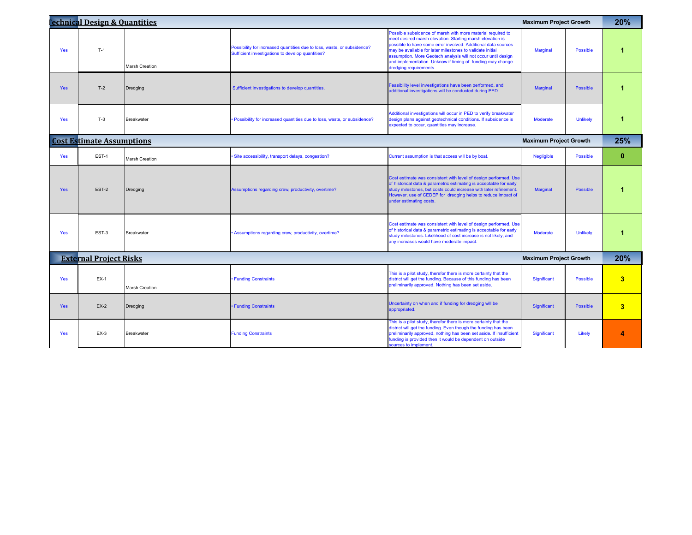|            | <b>Commical Design &amp; Quantities</b> |                       |                                                                                                                             |                                                                                                                                                                                                                                                                                                                                                                                                                 | <b>Maximum Project Growth</b> |                 | 20%                     |
|------------|-----------------------------------------|-----------------------|-----------------------------------------------------------------------------------------------------------------------------|-----------------------------------------------------------------------------------------------------------------------------------------------------------------------------------------------------------------------------------------------------------------------------------------------------------------------------------------------------------------------------------------------------------------|-------------------------------|-----------------|-------------------------|
| <b>Yes</b> | $T-1$                                   | <b>Marsh Creation</b> | Possibility for increased quantities due to loss, waste, or subsidence?<br>Sufficient investigations to develop quantities? | Possible subsidence of marsh with more material required to<br>meet desired marsh elevation. Starting marsh elevation is<br>possible to have some error involved. Additional data sources<br>may be available for later milestones to validate initial<br>assumption. More Geotech analysis will not occur until design<br>and implementation. Unknow if timing of funding may change<br>dredging requirements. | <b>Marginal</b>               | Possible        |                         |
| <b>Yes</b> | $T-2$                                   | Dredging              | Sufficient investigations to develop quantities.                                                                            | Feasibility level investigations have been performed, and<br>additional investigations will be conducted during PED.                                                                                                                                                                                                                                                                                            | <b>Marginal</b>               | Possible        |                         |
| <b>Yes</b> | $T-3$                                   | <b>Breakwater</b>     | • Possibility for increased quantities due to loss, waste, or subsidence?                                                   | Additional investigations will occur in PED to verify breakwater<br>design plans against geotechnical conditions. If subsidence is<br>expected to occur, quantities may increase.                                                                                                                                                                                                                               | <b>Moderate</b>               | <b>Unlikely</b> |                         |
|            | <b>Cost Estimate Assumptions</b>        |                       |                                                                                                                             |                                                                                                                                                                                                                                                                                                                                                                                                                 | <b>Maximum Project Growth</b> |                 | 25%                     |
| Yes        | EST-1                                   | <b>Marsh Creation</b> | Site accessibility, transport delays, congestion?                                                                           | Current assumption is that access will be by boat.                                                                                                                                                                                                                                                                                                                                                              | Negligible                    | <b>Possible</b> | $\mathbf{0}$            |
| Yes        | EST-2                                   | Dredging              | Assumptions regarding crew, productivity, overtime?                                                                         | Cost estimate was consistent with level of design performed. Use<br>of historical data & parametric estimating is acceptable for early<br>study milestones, but costs could increase with later refinement.<br>However, use of CEDEP for dredging helps to reduce impact of<br>under estimating costs.                                                                                                          | <b>Marginal</b>               | Possible        |                         |
| Yes:       | EST-3                                   | Breakwater            | • Assumptions regarding crew, productivity, overtime?                                                                       | Cost estimate was consistent with level of design performed. Use<br>of historical data & parametric estimating is acceptable for early<br>study milestones. Likelihood of cost increase is not likely, and<br>any increases would have moderate impact.                                                                                                                                                         | <b>Moderate</b>               | <b>Unlikely</b> |                         |
|            | <b>External Project Risks</b>           |                       |                                                                                                                             |                                                                                                                                                                                                                                                                                                                                                                                                                 | <b>Maximum Project Growth</b> |                 | 20%                     |
| Yes        | $EX-1$                                  | <b>Marsh Creation</b> | • Funding Constraints                                                                                                       | This is a pilot study, therefor there is more certainty that the<br>district will get the funding. Because of this funding has been<br>preliminarily approved. Nothing has been set aside.                                                                                                                                                                                                                      | Significant                   | Possible        | 3                       |
| <b>Yes</b> | $EX-2$                                  | Dredging              | • Funding Constraints                                                                                                       | Uncertainty on when and if funding for dredging will be<br>appropriated.                                                                                                                                                                                                                                                                                                                                        | Significant                   | Possible        | 3                       |
| <b>Yes</b> | $EX-3$                                  | <b>Breakwater</b>     | <b>Funding Constraints</b>                                                                                                  | This is a pilot study, therefor there is more certainty that the<br>district will get the funding. Even though the funding has been<br>preliminarily approved, nothing has been set aside. If insufficient<br>funding is provided then it would be dependent on outside<br>sources to implement.                                                                                                                | Significant                   | Likely          | $\overline{\mathbf{4}}$ |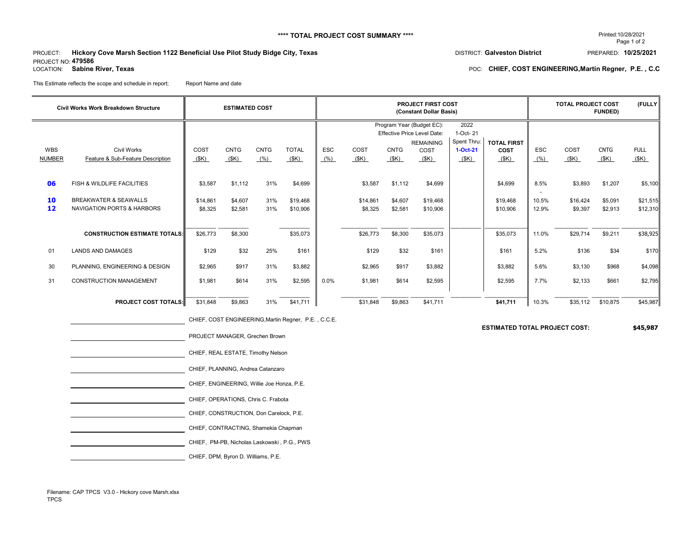## \*\*\*\* TOTAL PROJECT COST SUMMARY \*\*\*\* PROMETAL PROJECT COST SUMMARY \*\*\*\*

## PROJECT: **Hickory Cove Marsh Section 1122 Beneficial Use Pilot Study Bidge City, Texas** PREPARED: 10/25/2021 PROJECT NO: **479586**<br>LOCATION: Sabine River, Texas

This Estimate reflects the scope and schedule in report; Report Name and date

# Page 1 of 2

## POC: CHIEF, COST ENGINEERING, Martin Regner, P.E., C.C

CHIEF, COST ENGINEERING,Martin Regner, P.E. , C.C.E.

**ESTIMATED TOTAL PROJECT COST: \$45,987**

|                             | <b>Civil Works Work Breakdown Structure</b>                               |                     | <b>ESTIMATED COST</b> |                     | <b>PROJECT FIRST COST</b><br>(Constant Dollar Basis) |                    |                     |                     |                                                                                     | <b>TOTAL PROJECT COST</b><br>(FULLY)<br><b>FUNDED)</b> |                      |                    |                         |                     |                      |
|-----------------------------|---------------------------------------------------------------------------|---------------------|-----------------------|---------------------|------------------------------------------------------|--------------------|---------------------|---------------------|-------------------------------------------------------------------------------------|--------------------------------------------------------|----------------------|--------------------|-------------------------|---------------------|----------------------|
|                             |                                                                           |                     |                       |                     |                                                      |                    |                     |                     | Program Year (Budget EC):<br><b>Effective Price Level Date:</b><br><b>REMAINING</b> | 2022<br>1-Oct- 21<br>Spent Thru:                       | <b>TOTAL FIRST</b>   |                    |                         |                     |                      |
| <b>WBS</b><br><b>NUMBER</b> | <b>Civil Works</b><br>Feature & Sub-Feature Description                   | COST<br>(SK)        | <b>CNTG</b><br>(SK)   | <b>CNTG</b><br>(% ) | <b>TOTAL</b><br>(SK)                                 | <b>ESC</b><br>(% ) | COST<br>(SK)        | <b>CNTG</b><br>(SK) | COST<br>(SK)                                                                        | 1-Oct-21<br>(SK)                                       | <b>COST</b><br>(SK)  | <b>ESC</b><br>(% ) | COST<br>$(\frac{K}{2})$ | <b>CNTG</b><br>(SK) | <b>FULL</b><br>(SK)  |
| 06                          | FISH & WILDLIFE FACILITIES                                                | \$3,587             | \$1,112               | 31%                 | \$4,699                                              |                    | \$3,587             | \$1,112             | \$4,699                                                                             |                                                        | \$4,699              | 8.5%               | \$3,893                 | \$1,207             | \$5,100              |
| 10<br>12                    | <b>BREAKWATER &amp; SEAWALLS</b><br><b>NAVIGATION PORTS &amp; HARBORS</b> | \$14,861<br>\$8,325 | \$4,607<br>\$2,581    | 31%<br>31%          | \$19,468<br>\$10,906                                 |                    | \$14,861<br>\$8,325 | \$4,607<br>\$2,581  | \$19,468<br>\$10,906                                                                |                                                        | \$19,468<br>\$10,906 | 10.5%<br>12.9%     | \$16,424<br>\$9,397     | \$5,091<br>\$2,913  | \$21,515<br>\$12,310 |
|                             | <b>CONSTRUCTION ESTIMATE TOTALS:</b>                                      | \$26,773            | \$8,300               |                     | \$35,073                                             |                    | \$26,773            | \$8,300             | \$35,073                                                                            |                                                        | \$35,073             | 11.0%              | \$29,714                | \$9,211             | \$38,925             |
| 01                          | <b>LANDS AND DAMAGES</b>                                                  | \$129               | \$32                  | 25%                 | \$161                                                |                    | \$129               | \$32                | \$161                                                                               |                                                        | \$161                | 5.2%               | \$136                   | \$34                | \$170                |
| 30                          | PLANNING, ENGINEERING & DESIGN                                            | \$2,965             | \$917                 | 31%                 | \$3,882                                              |                    | \$2,965             | \$917               | \$3,882                                                                             |                                                        | \$3,882              | 5.6%               | \$3,130                 | \$968               | \$4,098              |
| 31                          | <b>CONSTRUCTION MANAGEMENT</b>                                            | \$1,981             | \$614                 | 31%                 | \$2,595                                              | $0.0\%$            | \$1,981             | \$614               | \$2,595                                                                             |                                                        | \$2,595              | 7.7%               | \$2,133                 | \$661               | \$2,795              |
|                             | <b>PROJECT COST TOTALS:</b>                                               | \$31,848            | \$9,863               | 31%                 | \$41,711                                             |                    | \$31,848            | \$9,863             | \$41,711                                                                            |                                                        | \$41,711             | 10.3%              | \$35,112                | \$10,875            | \$45,987             |

| PROJECT MANAGER, Grechen Brown              |
|---------------------------------------------|
| CHIEF, REAL ESTATE, Timothy Nelson          |
| CHIEF, PLANNING, Andrea Catanzaro           |
| CHIEF, ENGINEERING, Willie Joe Honza, P.E.  |
| CHIEF, OPERATIONS, Chris C. Frabota         |
| CHIEF, CONSTRUCTION, Don Carelock, P.E.     |
| CHIEF, CONTRACTING, Shamekia Chapman        |
| CHIEF, PM-PB, Nicholas Laskowski, P.G., PWS |
| CHIEF, DPM, Byron D. Williams, P.E.         |